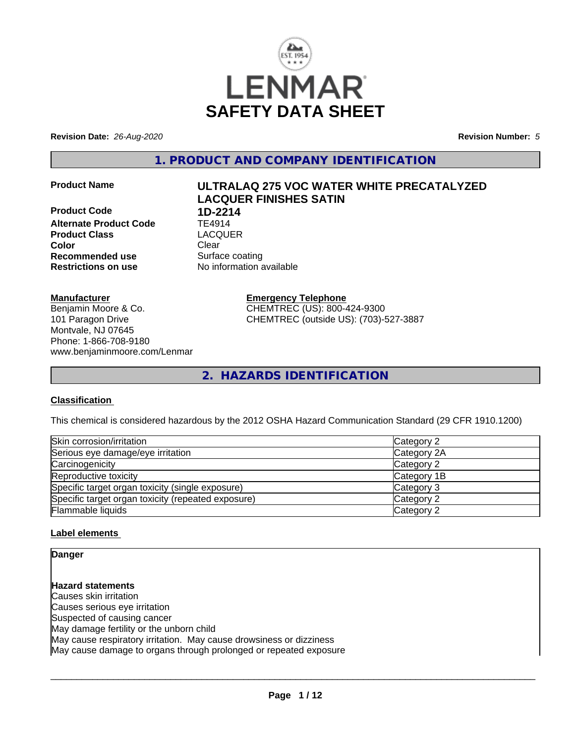

**Revision Date:** *26-Aug-2020* **Revision Number:** *5*

**1. PRODUCT AND COMPANY IDENTIFICATION**

**Product Code 1D-2214**<br>**Alternate Product Code** TE4914 **Alternate Product Code TE4914**<br> **Product Class TEACGUER Product Class Color** Clear Clear **Recommended use** Surface coating **Restrictions on use** No information available

# **Product Name ULTRALAQ 275 VOC WATER WHITE PRECATALYZED LACQUER FINISHES SATIN**

**Manufacturer**

Benjamin Moore & Co. 101 Paragon Drive Montvale, NJ 07645 Phone: 1-866-708-9180 www.benjaminmoore.com/Lenmar **Emergency Telephone** CHEMTREC (US): 800-424-9300 CHEMTREC (outside US): (703)-527-3887

**2. HAZARDS IDENTIFICATION**

#### **Classification**

This chemical is considered hazardous by the 2012 OSHA Hazard Communication Standard (29 CFR 1910.1200)

| Skin corrosion/irritation                          | Category 2  |
|----------------------------------------------------|-------------|
| Serious eye damage/eye irritation                  | Category 2A |
| Carcinogenicity                                    | Category 2  |
| Reproductive toxicity                              | Category 1B |
| Specific target organ toxicity (single exposure)   | Category 3  |
| Specific target organ toxicity (repeated exposure) | Category 2  |
| Flammable liquids                                  | Category 2  |

#### **Label elements**

**Danger**

**Hazard statements** Causes skin irritation Causes serious eye irritation Suspected of causing cancer May damage fertility or the unborn child May cause respiratory irritation. May cause drowsiness or dizziness May cause damage to organs through prolonged or repeated exposure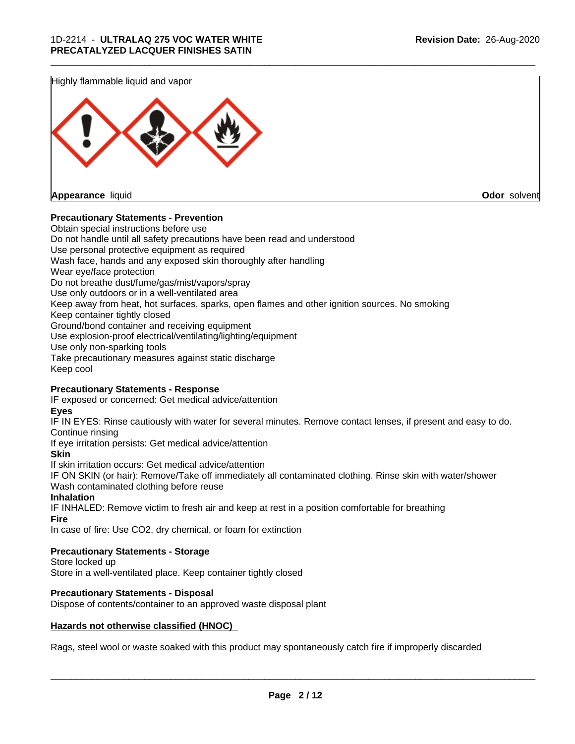Highly flammable liquid and vapor



**Appearance** liquid **Odor** solvent

#### **Precautionary Statements - Prevention**

Obtain special instructions before use Do not handle until all safety precautions have been read and understood Use personal protective equipment as required Wash face, hands and any exposed skin thoroughly after handling Wear eye/face protection Do not breathe dust/fume/gas/mist/vapors/spray Use only outdoors or in a well-ventilated area Keep away from heat, hot surfaces, sparks, open flames and other ignition sources. No smoking Keep container tightly closed Ground/bond container and receiving equipment Use explosion-proof electrical/ventilating/lighting/equipment Use only non-sparking tools Take precautionary measures against static discharge Keep cool

\_\_\_\_\_\_\_\_\_\_\_\_\_\_\_\_\_\_\_\_\_\_\_\_\_\_\_\_\_\_\_\_\_\_\_\_\_\_\_\_\_\_\_\_\_\_\_\_\_\_\_\_\_\_\_\_\_\_\_\_\_\_\_\_\_\_\_\_\_\_\_\_\_\_\_\_\_\_\_\_\_\_\_\_\_\_\_\_\_\_\_\_\_

#### **Precautionary Statements - Response**

IF exposed or concerned: Get medical advice/attention

**Eyes**

IF IN EYES: Rinse cautiously with water for several minutes. Remove contact lenses, if present and easy to do. Continue rinsing

If eye irritation persists: Get medical advice/attention

**Skin**

If skin irritation occurs: Get medical advice/attention

IF ON SKIN (or hair): Remove/Take off immediately all contaminated clothing. Rinse skin with water/shower Wash contaminated clothing before reuse

#### **Inhalation**

IF INHALED: Remove victim to fresh air and keep at rest in a position comfortable for breathing **Fire**

In case of fire: Use CO2, dry chemical, or foam for extinction

#### **Precautionary Statements - Storage**

Store locked up Store in a well-ventilated place. Keep container tightly closed

#### **Precautionary Statements - Disposal**

Dispose of contents/container to an approved waste disposal plant

#### **Hazards not otherwise classified (HNOC)**

Rags, steel wool or waste soaked with this product may spontaneously catch fire if improperly discarded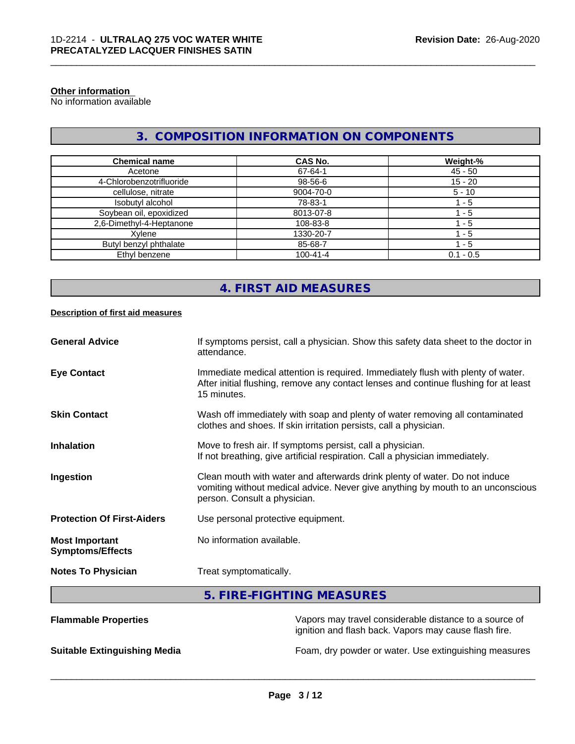#### **Other information**

No information available

## **3. COMPOSITION INFORMATION ON COMPONENTS**

\_\_\_\_\_\_\_\_\_\_\_\_\_\_\_\_\_\_\_\_\_\_\_\_\_\_\_\_\_\_\_\_\_\_\_\_\_\_\_\_\_\_\_\_\_\_\_\_\_\_\_\_\_\_\_\_\_\_\_\_\_\_\_\_\_\_\_\_\_\_\_\_\_\_\_\_\_\_\_\_\_\_\_\_\_\_\_\_\_\_\_\_\_

| <b>Chemical name</b>     | <b>CAS No.</b> | Weight-%    |
|--------------------------|----------------|-------------|
| Acetone                  | 67-64-1        | $45 - 50$   |
| 4-Chlorobenzotrifluoride | 98-56-6        | $15 - 20$   |
| cellulose, nitrate       | 9004-70-0      | $5 - 10$    |
| Isobutyl alcohol         | 78-83-1        | - 5         |
| Soybean oil, epoxidized  | 8013-07-8      | - 5         |
| 2,6-Dimethyl-4-Heptanone | 108-83-8       | - 5         |
| Xvlene                   | 1330-20-7      | - 5         |
| Butyl benzyl phthalate   | 85-68-7        | 1 - 5       |
| Ethyl benzene            | $100 - 41 - 4$ | $0.1 - 0.5$ |

## **4. FIRST AID MEASURES**

#### **Description of first aid measures**

| <b>General Advice</b>                            | If symptoms persist, call a physician. Show this safety data sheet to the doctor in<br>attendance.                                                                                            |
|--------------------------------------------------|-----------------------------------------------------------------------------------------------------------------------------------------------------------------------------------------------|
| <b>Eye Contact</b>                               | Immediate medical attention is required. Immediately flush with plenty of water.<br>After initial flushing, remove any contact lenses and continue flushing for at least<br>15 minutes.       |
| <b>Skin Contact</b>                              | Wash off immediately with soap and plenty of water removing all contaminated<br>clothes and shoes. If skin irritation persists, call a physician.                                             |
| <b>Inhalation</b>                                | Move to fresh air. If symptoms persist, call a physician.<br>If not breathing, give artificial respiration. Call a physician immediately.                                                     |
| Ingestion                                        | Clean mouth with water and afterwards drink plenty of water. Do not induce<br>vomiting without medical advice. Never give anything by mouth to an unconscious<br>person. Consult a physician. |
| <b>Protection Of First-Aiders</b>                | Use personal protective equipment.                                                                                                                                                            |
| <b>Most Important</b><br><b>Symptoms/Effects</b> | No information available.                                                                                                                                                                     |
| <b>Notes To Physician</b>                        | Treat symptomatically.                                                                                                                                                                        |

## **5. FIRE-FIGHTING MEASURES**

| <b>Flammable Properties</b>         | Vapors may travel considerable distance to a source of<br>ignition and flash back. Vapors may cause flash fire. |
|-------------------------------------|-----------------------------------------------------------------------------------------------------------------|
| <b>Suitable Extinguishing Media</b> | Foam, dry powder or water. Use extinguishing measures                                                           |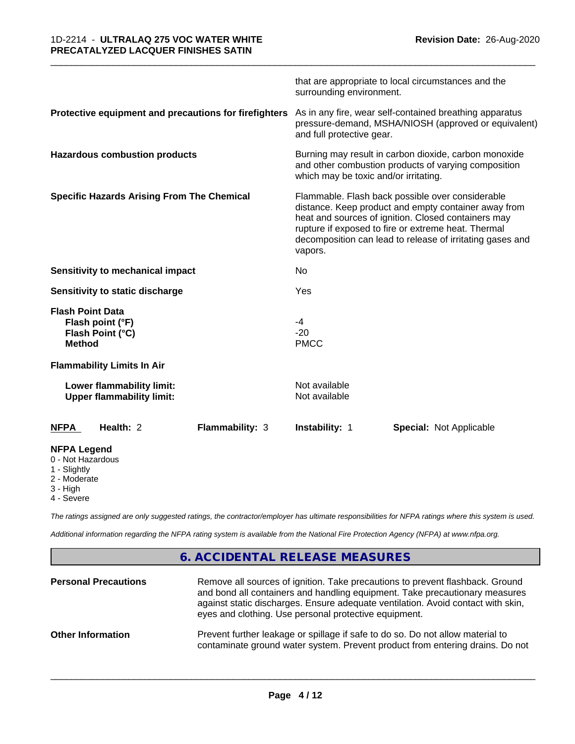|                                                                                     | that are appropriate to local circumstances and the<br>surrounding environment.                                                                                                                                                                                                                |  |
|-------------------------------------------------------------------------------------|------------------------------------------------------------------------------------------------------------------------------------------------------------------------------------------------------------------------------------------------------------------------------------------------|--|
| Protective equipment and precautions for firefighters                               | As in any fire, wear self-contained breathing apparatus<br>pressure-demand, MSHA/NIOSH (approved or equivalent)<br>and full protective gear.                                                                                                                                                   |  |
| <b>Hazardous combustion products</b>                                                | Burning may result in carbon dioxide, carbon monoxide<br>and other combustion products of varying composition<br>which may be toxic and/or irritating.                                                                                                                                         |  |
| <b>Specific Hazards Arising From The Chemical</b>                                   | Flammable. Flash back possible over considerable<br>distance. Keep product and empty container away from<br>heat and sources of ignition. Closed containers may<br>rupture if exposed to fire or extreme heat. Thermal<br>decomposition can lead to release of irritating gases and<br>vapors. |  |
| Sensitivity to mechanical impact                                                    | No                                                                                                                                                                                                                                                                                             |  |
| Sensitivity to static discharge                                                     | Yes                                                                                                                                                                                                                                                                                            |  |
| <b>Flash Point Data</b><br>Flash point (°F)<br>Flash Point (°C)<br><b>Method</b>    | $-4$<br>$-20$<br><b>PMCC</b>                                                                                                                                                                                                                                                                   |  |
| <b>Flammability Limits In Air</b>                                                   |                                                                                                                                                                                                                                                                                                |  |
| Lower flammability limit:<br><b>Upper flammability limit:</b>                       | Not available<br>Not available                                                                                                                                                                                                                                                                 |  |
| Health: 2<br>Flammability: 3<br><b>NFPA</b>                                         | <b>Instability: 1</b><br><b>Special: Not Applicable</b>                                                                                                                                                                                                                                        |  |
| <b>NFPA Legend</b><br>0 - Not Hazardous<br>1 - Slightly<br>2 - Moderate<br>3 - High |                                                                                                                                                                                                                                                                                                |  |

\_\_\_\_\_\_\_\_\_\_\_\_\_\_\_\_\_\_\_\_\_\_\_\_\_\_\_\_\_\_\_\_\_\_\_\_\_\_\_\_\_\_\_\_\_\_\_\_\_\_\_\_\_\_\_\_\_\_\_\_\_\_\_\_\_\_\_\_\_\_\_\_\_\_\_\_\_\_\_\_\_\_\_\_\_\_\_\_\_\_\_\_\_

4 - Severe

*The ratings assigned are only suggested ratings, the contractor/employer has ultimate responsibilities for NFPA ratings where this system is used.*

*Additional information regarding the NFPA rating system is available from the National Fire Protection Agency (NFPA) at www.nfpa.org.*

## **6. ACCIDENTAL RELEASE MEASURES**

| <b>Personal Precautions</b> | Remove all sources of ignition. Take precautions to prevent flashback. Ground<br>and bond all containers and handling equipment. Take precautionary measures<br>against static discharges. Ensure adequate ventilation. Avoid contact with skin,<br>eyes and clothing. Use personal protective equipment. |
|-----------------------------|-----------------------------------------------------------------------------------------------------------------------------------------------------------------------------------------------------------------------------------------------------------------------------------------------------------|
| <b>Other Information</b>    | Prevent further leakage or spillage if safe to do so. Do not allow material to<br>contaminate ground water system. Prevent product from entering drains. Do not                                                                                                                                           |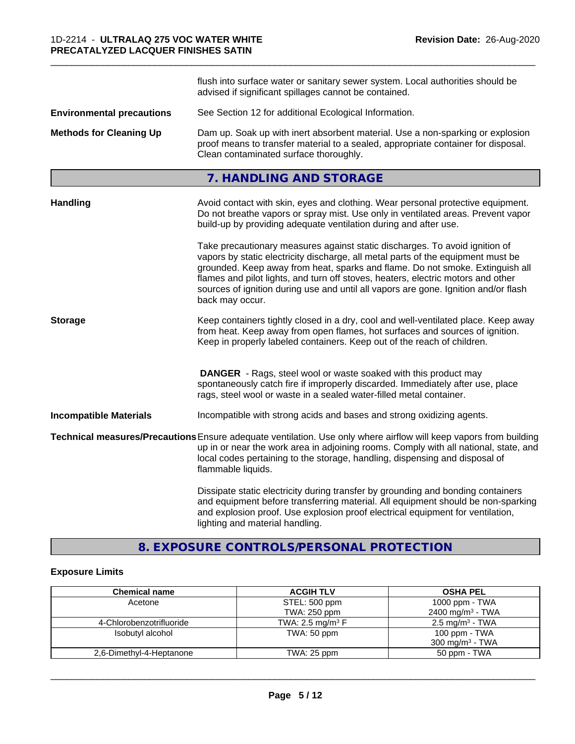|                                  | flush into surface water or sanitary sewer system. Local authorities should be<br>advised if significant spillages cannot be contained.                                                                                                                                                                                                                                                                                                        |
|----------------------------------|------------------------------------------------------------------------------------------------------------------------------------------------------------------------------------------------------------------------------------------------------------------------------------------------------------------------------------------------------------------------------------------------------------------------------------------------|
| <b>Environmental precautions</b> | See Section 12 for additional Ecological Information.                                                                                                                                                                                                                                                                                                                                                                                          |
| <b>Methods for Cleaning Up</b>   | Dam up. Soak up with inert absorbent material. Use a non-sparking or explosion<br>proof means to transfer material to a sealed, appropriate container for disposal.<br>Clean contaminated surface thoroughly.                                                                                                                                                                                                                                  |
|                                  | 7. HANDLING AND STORAGE                                                                                                                                                                                                                                                                                                                                                                                                                        |
| <b>Handling</b>                  | Avoid contact with skin, eyes and clothing. Wear personal protective equipment.<br>Do not breathe vapors or spray mist. Use only in ventilated areas. Prevent vapor<br>build-up by providing adequate ventilation during and after use.                                                                                                                                                                                                        |
|                                  | Take precautionary measures against static discharges. To avoid ignition of<br>vapors by static electricity discharge, all metal parts of the equipment must be<br>grounded. Keep away from heat, sparks and flame. Do not smoke. Extinguish all<br>flames and pilot lights, and turn off stoves, heaters, electric motors and other<br>sources of ignition during use and until all vapors are gone. Ignition and/or flash<br>back may occur. |
| <b>Storage</b>                   | Keep containers tightly closed in a dry, cool and well-ventilated place. Keep away<br>from heat. Keep away from open flames, hot surfaces and sources of ignition.<br>Keep in properly labeled containers. Keep out of the reach of children.                                                                                                                                                                                                  |
|                                  | <b>DANGER</b> - Rags, steel wool or waste soaked with this product may<br>spontaneously catch fire if improperly discarded. Immediately after use, place<br>rags, steel wool or waste in a sealed water-filled metal container.                                                                                                                                                                                                                |
| <b>Incompatible Materials</b>    | Incompatible with strong acids and bases and strong oxidizing agents.                                                                                                                                                                                                                                                                                                                                                                          |
|                                  | Technical measures/Precautions Ensure adequate ventilation. Use only where airflow will keep vapors from building<br>up in or near the work area in adjoining rooms. Comply with all national, state, and<br>local codes pertaining to the storage, handling, dispensing and disposal of<br>flammable liquids.                                                                                                                                 |
|                                  | Dissipate static electricity during transfer by grounding and bonding containers<br>and equipment before transferring material. All equipment should be non-sparking<br>and explosion proof. Use explosion proof electrical equipment for ventilation,<br>lighting and material handling.                                                                                                                                                      |

\_\_\_\_\_\_\_\_\_\_\_\_\_\_\_\_\_\_\_\_\_\_\_\_\_\_\_\_\_\_\_\_\_\_\_\_\_\_\_\_\_\_\_\_\_\_\_\_\_\_\_\_\_\_\_\_\_\_\_\_\_\_\_\_\_\_\_\_\_\_\_\_\_\_\_\_\_\_\_\_\_\_\_\_\_\_\_\_\_\_\_\_\_

## **8. EXPOSURE CONTROLS/PERSONAL PROTECTION**

## **Exposure Limits**

| <b>Chemical name</b>     | <b>ACGIH TLV</b>               | <b>OSHA PEL</b>              |
|--------------------------|--------------------------------|------------------------------|
| Acetone                  | STEL: 500 ppm                  | 1000 ppm - $TWA$             |
|                          | TWA: 250 ppm                   | 2400 mg/m <sup>3</sup> - TWA |
| 4-Chlorobenzotrifluoride | TWA: 2.5 mg/m <sup>3</sup> $F$ | $2.5 \text{ mg/m}^3$ - TWA   |
| Isobutyl alcohol         | TWA: 50 ppm                    | 100 ppm - TWA                |
|                          |                                | 300 mg/m <sup>3</sup> - TWA  |
| 2,6-Dimethyl-4-Heptanone | TWA: 25 ppm                    | 50 ppm - TWA                 |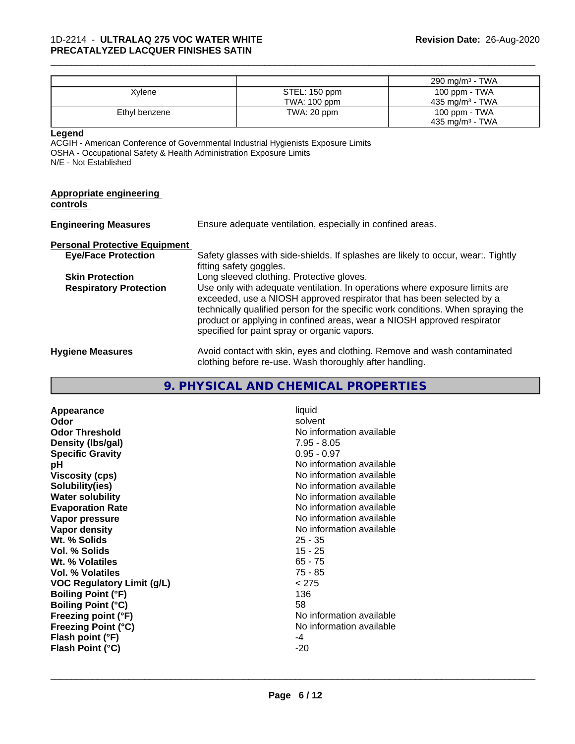|                                                                                                       |                                                                          |                                                                                                                                                                                                                                                                                                                                                                     | 290 mg/m <sup>3</sup> - TWA |
|-------------------------------------------------------------------------------------------------------|--------------------------------------------------------------------------|---------------------------------------------------------------------------------------------------------------------------------------------------------------------------------------------------------------------------------------------------------------------------------------------------------------------------------------------------------------------|-----------------------------|
| Xylene                                                                                                |                                                                          | STEL: 150 ppm                                                                                                                                                                                                                                                                                                                                                       | 100 ppm - TWA               |
|                                                                                                       |                                                                          | TWA: 100 ppm                                                                                                                                                                                                                                                                                                                                                        | 435 mg/m <sup>3</sup> - TWA |
| Ethyl benzene                                                                                         |                                                                          | TWA: 20 ppm                                                                                                                                                                                                                                                                                                                                                         | 100 ppm - TWA               |
|                                                                                                       |                                                                          |                                                                                                                                                                                                                                                                                                                                                                     | 435 mg/m <sup>3</sup> - TWA |
| Legend<br>OSHA - Occupational Safety & Health Administration Exposure Limits<br>N/E - Not Established |                                                                          | ACGIH - American Conference of Governmental Industrial Hygienists Exposure Limits                                                                                                                                                                                                                                                                                   |                             |
| <b>Appropriate engineering</b><br>controls                                                            |                                                                          |                                                                                                                                                                                                                                                                                                                                                                     |                             |
| <b>Engineering Measures</b>                                                                           |                                                                          | Ensure adequate ventilation, especially in confined areas.                                                                                                                                                                                                                                                                                                          |                             |
| <b>Personal Protective Equipment</b>                                                                  |                                                                          |                                                                                                                                                                                                                                                                                                                                                                     |                             |
| <b>Eye/Face Protection</b>                                                                            |                                                                          | Safety glasses with side-shields. If splashes are likely to occur, wear:. Tightly<br>fitting safety goggles.                                                                                                                                                                                                                                                        |                             |
| <b>Skin Protection</b>                                                                                |                                                                          | Long sleeved clothing. Protective gloves.                                                                                                                                                                                                                                                                                                                           |                             |
| <b>Respiratory Protection</b>                                                                         |                                                                          | Use only with adequate ventilation. In operations where exposure limits are<br>exceeded, use a NIOSH approved respirator that has been selected by a<br>technically qualified person for the specific work conditions. When spraying the<br>product or applying in confined areas, wear a NIOSH approved respirator<br>specified for paint spray or organic vapors. |                             |
| <b>Hygiene Measures</b>                                                                               | Avoid contact with skin, eyes and clothing. Remove and wash contaminated |                                                                                                                                                                                                                                                                                                                                                                     |                             |

clothing before re-use. Wash thoroughly after handling.

\_\_\_\_\_\_\_\_\_\_\_\_\_\_\_\_\_\_\_\_\_\_\_\_\_\_\_\_\_\_\_\_\_\_\_\_\_\_\_\_\_\_\_\_\_\_\_\_\_\_\_\_\_\_\_\_\_\_\_\_\_\_\_\_\_\_\_\_\_\_\_\_\_\_\_\_\_\_\_\_\_\_\_\_\_\_\_\_\_\_\_\_\_

# **9. PHYSICAL AND CHEMICAL PROPERTIES**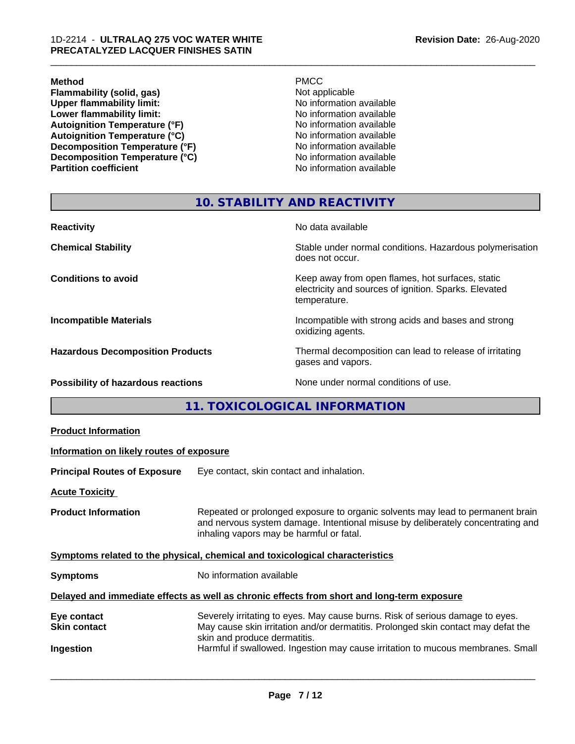#### **Method** PMCC

**Flammability (solid, gas)**<br> **Commability limit:**<br>
Upper flammability limit:<br>
No information available **Upper flammability limit:**<br> **Lower flammability limit:**<br>
No information available<br>
No information available **Lower flammability limit:**<br> **Autoignition Temperature (°F)**<br>
No information available<br>
No information available Autoignition Temperature (°F)<br>
Autoignition Temperature (°C)<br>
No information available **Autoignition Temperature (°C) Decomposition Temperature (°F)**<br> **Decomposition Temperature (°C)** No information available **Decomposition Temperature (°C)**<br>Partition coefficient

**No information available** 

\_\_\_\_\_\_\_\_\_\_\_\_\_\_\_\_\_\_\_\_\_\_\_\_\_\_\_\_\_\_\_\_\_\_\_\_\_\_\_\_\_\_\_\_\_\_\_\_\_\_\_\_\_\_\_\_\_\_\_\_\_\_\_\_\_\_\_\_\_\_\_\_\_\_\_\_\_\_\_\_\_\_\_\_\_\_\_\_\_\_\_\_\_

#### **10. STABILITY AND REACTIVITY**

| <b>Reactivity</b>                       | No data available                                                                                                         |
|-----------------------------------------|---------------------------------------------------------------------------------------------------------------------------|
| <b>Chemical Stability</b>               | Stable under normal conditions. Hazardous polymerisation<br>does not occur.                                               |
| <b>Conditions to avoid</b>              | Keep away from open flames, hot surfaces, static<br>electricity and sources of ignition. Sparks. Elevated<br>temperature. |
| <b>Incompatible Materials</b>           | Incompatible with strong acids and bases and strong<br>oxidizing agents.                                                  |
| <b>Hazardous Decomposition Products</b> | Thermal decomposition can lead to release of irritating<br>gases and vapors.                                              |
| Possibility of hazardous reactions      | None under normal conditions of use.                                                                                      |

**11. TOXICOLOGICAL INFORMATION**

| <b>Product Information</b>                                                                 |                                                                                                                                                                                                               |  |
|--------------------------------------------------------------------------------------------|---------------------------------------------------------------------------------------------------------------------------------------------------------------------------------------------------------------|--|
| Information on likely routes of exposure                                                   |                                                                                                                                                                                                               |  |
| <b>Principal Routes of Exposure</b>                                                        | Eye contact, skin contact and inhalation.                                                                                                                                                                     |  |
| <b>Acute Toxicity</b>                                                                      |                                                                                                                                                                                                               |  |
| <b>Product Information</b>                                                                 | Repeated or prolonged exposure to organic solvents may lead to permanent brain<br>and nervous system damage. Intentional misuse by deliberately concentrating and<br>inhaling vapors may be harmful or fatal. |  |
| Symptoms related to the physical, chemical and toxicological characteristics               |                                                                                                                                                                                                               |  |
| <b>Symptoms</b>                                                                            | No information available                                                                                                                                                                                      |  |
| Delayed and immediate effects as well as chronic effects from short and long-term exposure |                                                                                                                                                                                                               |  |
| Eye contact<br><b>Skin contact</b>                                                         | Severely irritating to eyes. May cause burns. Risk of serious damage to eyes.<br>May cause skin irritation and/or dermatitis. Prolonged skin contact may defat the<br>skin and produce dermatitis.            |  |
| Ingestion                                                                                  | Harmful if swallowed. Ingestion may cause irritation to mucous membranes. Small                                                                                                                               |  |
|                                                                                            |                                                                                                                                                                                                               |  |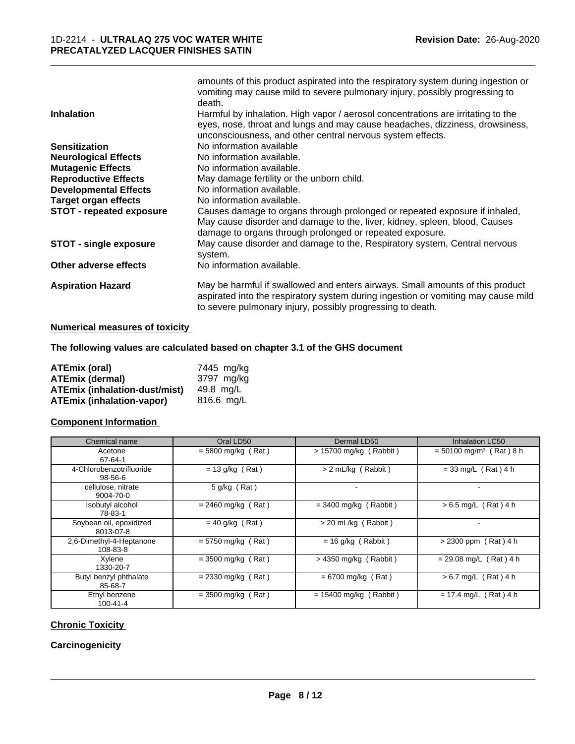|                                 | amounts of this product aspirated into the respiratory system during ingestion or     |
|---------------------------------|---------------------------------------------------------------------------------------|
|                                 | vomiting may cause mild to severe pulmonary injury, possibly progressing to<br>death. |
| <b>Inhalation</b>               | Harmful by inhalation. High vapor / aerosol concentrations are irritating to the      |
|                                 | eyes, nose, throat and lungs and may cause headaches, dizziness, drowsiness,          |
|                                 | unconsciousness, and other central nervous system effects.                            |
| <b>Sensitization</b>            | No information available                                                              |
| <b>Neurological Effects</b>     | No information available.                                                             |
| <b>Mutagenic Effects</b>        | No information available.                                                             |
| <b>Reproductive Effects</b>     | May damage fertility or the unborn child.                                             |
| <b>Developmental Effects</b>    | No information available.                                                             |
| <b>Target organ effects</b>     | No information available.                                                             |
| <b>STOT - repeated exposure</b> | Causes damage to organs through prolonged or repeated exposure if inhaled,            |
|                                 | May cause disorder and damage to the, liver, kidney, spleen, blood, Causes            |
|                                 | damage to organs through prolonged or repeated exposure.                              |
| <b>STOT - single exposure</b>   | May cause disorder and damage to the, Respiratory system, Central nervous<br>system.  |
| Other adverse effects           | No information available.                                                             |
| <b>Aspiration Hazard</b>        | May be harmful if swallowed and enters airways. Small amounts of this product         |
|                                 | aspirated into the respiratory system during ingestion or vomiting may cause mild     |
|                                 | to severe pulmonary injury, possibly progressing to death.                            |

#### **Numerical measures of toxicity**

#### **The following values are calculated based on chapter 3.1 of the GHS document**

| <b>ATEmix (oral)</b>                 | 7445 mg/ka |
|--------------------------------------|------------|
| <b>ATEmix (dermal)</b>               | 3797 ma/ka |
| <b>ATEmix (inhalation-dust/mist)</b> | 49.8 ma/L  |
| <b>ATEmix (inhalation-vapor)</b>     | 816.6 ma/L |

#### **Component Information**

| Chemical name                        | Oral LD50            | Dermal LD50              | Inhalation LC50                       |
|--------------------------------------|----------------------|--------------------------|---------------------------------------|
| Acetone<br>67-64-1                   | $= 5800$ mg/kg (Rat) | $> 15700$ mg/kg (Rabbit) | $=$ 50100 mg/m <sup>3</sup> (Rat) 8 h |
| 4-Chlorobenzotrifluoride<br>98-56-6  | $= 13$ g/kg (Rat)    | > 2 mL/kg (Rabbit)       | $= 33$ mg/L (Rat) 4 h                 |
| cellulose, nitrate<br>9004-70-0      | $5$ g/kg (Rat)       | $\blacksquare$           |                                       |
| Isobutyl alcohol<br>78-83-1          | $= 2460$ mg/kg (Rat) | $=$ 3400 mg/kg (Rabbit)  | $> 6.5$ mg/L (Rat) 4 h                |
| Soybean oil, epoxidized<br>8013-07-8 | $= 40$ g/kg (Rat)    | > 20 mL/kg (Rabbit)      |                                       |
| 2.6-Dimethyl-4-Heptanone<br>108-83-8 | $= 5750$ mg/kg (Rat) | $= 16$ g/kg (Rabbit)     | $> 2300$ ppm (Rat) 4 h                |
| Xylene<br>1330-20-7                  | $=$ 3500 mg/kg (Rat) | $>$ 4350 mg/kg (Rabbit)  | $= 29.08$ mg/L (Rat) 4 h              |
| Butyl benzyl phthalate<br>85-68-7    | $= 2330$ mg/kg (Rat) | $= 6700$ mg/kg (Rat)     | $> 6.7$ mg/L (Rat) 4 h                |
| Ethyl benzene<br>$100 - 41 - 4$      | $=$ 3500 mg/kg (Rat) | $= 15400$ mg/kg (Rabbit) | $= 17.4$ mg/L (Rat) 4 h               |

#### **Chronic Toxicity**

#### **Carcinogenicity**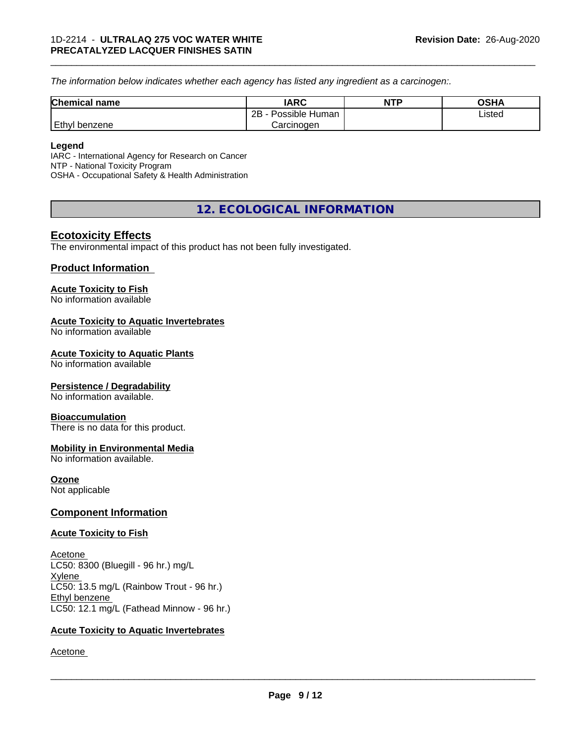*The information below indicateswhether each agency has listed any ingredient as a carcinogen:.*

| <b>Chemical name</b> | <b>IARC</b>               | <b>NTP</b> | OSHA   |
|----------------------|---------------------------|------------|--------|
|                      | .<br>2B<br>Possible Human |            | Listed |
| Ethyl<br>I benzene   | Carcinogen                |            |        |

\_\_\_\_\_\_\_\_\_\_\_\_\_\_\_\_\_\_\_\_\_\_\_\_\_\_\_\_\_\_\_\_\_\_\_\_\_\_\_\_\_\_\_\_\_\_\_\_\_\_\_\_\_\_\_\_\_\_\_\_\_\_\_\_\_\_\_\_\_\_\_\_\_\_\_\_\_\_\_\_\_\_\_\_\_\_\_\_\_\_\_\_\_

#### **Legend**

IARC - International Agency for Research on Cancer NTP - National Toxicity Program OSHA - Occupational Safety & Health Administration

## **12. ECOLOGICAL INFORMATION**

#### **Ecotoxicity Effects**

The environmental impact of this product has not been fully investigated.

#### **Product Information**

#### **Acute Toxicity to Fish**

No information available

#### **Acute Toxicity to Aquatic Invertebrates**

No information available

#### **Acute Toxicity to Aquatic Plants**

No information available

#### **Persistence / Degradability**

No information available.

#### **Bioaccumulation**

There is no data for this product.

#### **Mobility in Environmental Media**

No information available.

#### **Ozone**

Not applicable

#### **Component Information**

#### **Acute Toxicity to Fish**

Acetone LC50: 8300 (Bluegill - 96 hr.) mg/L Xylene LC50: 13.5 mg/L (Rainbow Trout - 96 hr.) Ethyl benzene LC50: 12.1 mg/L (Fathead Minnow - 96 hr.)

#### **Acute Toxicity to Aquatic Invertebrates**

Acetone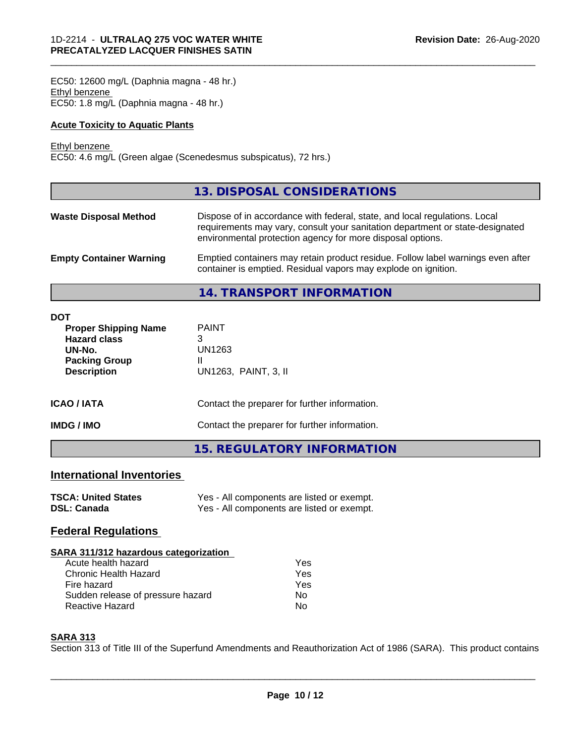EC50: 12600 mg/L (Daphnia magna - 48 hr.) Ethyl benzene EC50: 1.8 mg/L (Daphnia magna - 48 hr.)

#### **Acute Toxicity to Aquatic Plants**

#### Ethyl benzene

EC50: 4.6 mg/L (Green algae (Scenedesmus subspicatus), 72 hrs.)

| 13. DISPOSAL CONSIDERATIONS                                                                                                                                                                                               |
|---------------------------------------------------------------------------------------------------------------------------------------------------------------------------------------------------------------------------|
| Dispose of in accordance with federal, state, and local regulations. Local<br>requirements may vary, consult your sanitation department or state-designated<br>environmental protection agency for more disposal options. |
| Emptied containers may retain product residue. Follow label warnings even after<br>container is emptied. Residual vapors may explode on ignition.                                                                         |
|                                                                                                                                                                                                                           |

\_\_\_\_\_\_\_\_\_\_\_\_\_\_\_\_\_\_\_\_\_\_\_\_\_\_\_\_\_\_\_\_\_\_\_\_\_\_\_\_\_\_\_\_\_\_\_\_\_\_\_\_\_\_\_\_\_\_\_\_\_\_\_\_\_\_\_\_\_\_\_\_\_\_\_\_\_\_\_\_\_\_\_\_\_\_\_\_\_\_\_\_\_

**14. TRANSPORT INFORMATION**

| <b>DOT</b><br><b>Proper Shipping Name</b><br><b>Hazard class</b><br>UN-No.<br><b>Packing Group</b><br><b>Description</b> | <b>PAINT</b><br>3<br>UN1263<br>UN1263, PAINT, 3, II |
|--------------------------------------------------------------------------------------------------------------------------|-----------------------------------------------------|
| <b>ICAO/IATA</b>                                                                                                         | Contact the preparer for further information.       |
| <b>IMDG/IMO</b>                                                                                                          | Contact the preparer for further information.       |
|                                                                                                                          | <b>15. REGULATORY INFORMATION</b>                   |

### **International Inventories**

| <b>TSCA: United States</b> | Yes - All components are listed or exempt. |
|----------------------------|--------------------------------------------|
| <b>DSL: Canada</b>         | Yes - All components are listed or exempt. |

## **Federal Regulations**

| SARA 311/312 hazardous categorization |     |  |
|---------------------------------------|-----|--|
| Acute health hazard                   | Yes |  |
| Chronic Health Hazard                 | Yes |  |
| Fire hazard                           | Yes |  |
| Sudden release of pressure hazard     | Nο  |  |
| Reactive Hazard                       | No  |  |

#### **SARA 313**

Section 313 of Title III of the Superfund Amendments and Reauthorization Act of 1986 (SARA). This product contains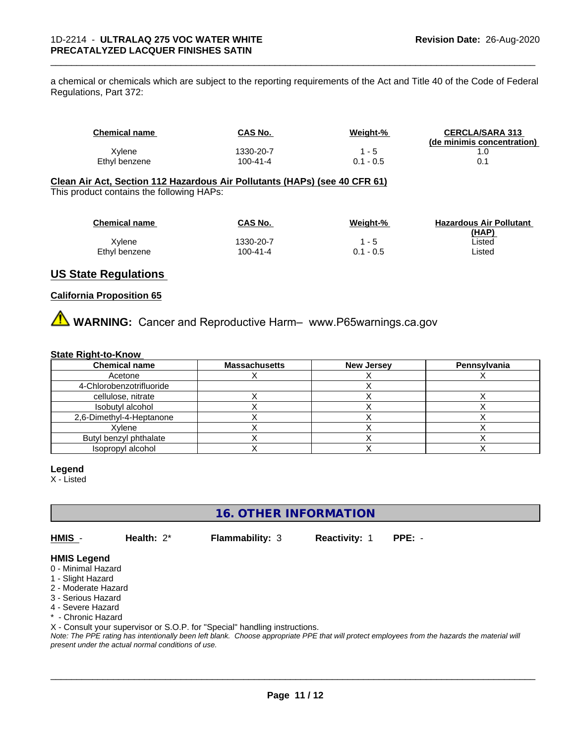a chemical or chemicals which are subject to the reporting requirements of the Act and Title 40 of the Code of Federal Regulations, Part 372:

| <b>Chemical name</b> | <b>CAS No.</b> | <u>Weight-%</u> | <b>CERCLA/SARA 313</b><br>(de minimis concentration) |
|----------------------|----------------|-----------------|------------------------------------------------------|
| Xylene               | 1330-20-7      | - 5             |                                                      |
| Ethyl benzene        | 100-41-4       | $0.1 - 0.5$     |                                                      |

\_\_\_\_\_\_\_\_\_\_\_\_\_\_\_\_\_\_\_\_\_\_\_\_\_\_\_\_\_\_\_\_\_\_\_\_\_\_\_\_\_\_\_\_\_\_\_\_\_\_\_\_\_\_\_\_\_\_\_\_\_\_\_\_\_\_\_\_\_\_\_\_\_\_\_\_\_\_\_\_\_\_\_\_\_\_\_\_\_\_\_\_\_

#### **Clean Air Act,Section 112 Hazardous Air Pollutants (HAPs) (see 40 CFR 61)** This product contains the following HAPs:

| <b>Chemical name</b> | CAS No.   | Weight-%    | <b>Hazardous Air Pollutant</b> |
|----------------------|-----------|-------------|--------------------------------|
|                      |           |             | (HAP)                          |
| Xvlene               | 1330-20-7 | 1 - 5       | ∟isted                         |
| Ethyl benzene        | 100-41-4  | $0.1 - 0.5$ | ∟isted                         |

#### **US State Regulations**

#### **California Proposition 65**

**AVIMARNING:** Cancer and Reproductive Harm– www.P65warnings.ca.gov

#### **State Right-to-Know**

| <b>Chemical name</b>     | <b>Massachusetts</b> | <b>New Jersey</b> | Pennsylvania |
|--------------------------|----------------------|-------------------|--------------|
| Acetone                  |                      |                   |              |
| 4-Chlorobenzotrifluoride |                      |                   |              |
| cellulose, nitrate       |                      |                   |              |
| Isobutyl alcohol         |                      |                   |              |
| 2,6-Dimethyl-4-Heptanone |                      |                   |              |
| Xvlene                   |                      |                   |              |
| Butyl benzyl phthalate   |                      |                   |              |
| Isopropyl alcohol        |                      |                   |              |

#### **Legend**

X - Listed

**16. OTHER INFORMATION**

**HMIS** - **Health:** 2\* **Flammability:** 3 **Reactivity:** 1 **PPE:** -

 $\overline{\phantom{a}}$  ,  $\overline{\phantom{a}}$  ,  $\overline{\phantom{a}}$  ,  $\overline{\phantom{a}}$  ,  $\overline{\phantom{a}}$  ,  $\overline{\phantom{a}}$  ,  $\overline{\phantom{a}}$  ,  $\overline{\phantom{a}}$  ,  $\overline{\phantom{a}}$  ,  $\overline{\phantom{a}}$  ,  $\overline{\phantom{a}}$  ,  $\overline{\phantom{a}}$  ,  $\overline{\phantom{a}}$  ,  $\overline{\phantom{a}}$  ,  $\overline{\phantom{a}}$  ,  $\overline{\phantom{a}}$ 

#### **HMIS Legend**

- 0 Minimal Hazard
- 1 Slight Hazard
- 2 Moderate Hazard
- 3 Serious Hazard
- 4 Severe Hazard
- \* Chronic Hazard

X - Consult your supervisor or S.O.P. for "Special" handling instructions.

*Note: The PPE rating has intentionally been left blank. Choose appropriate PPE that will protect employees from the hazards the material will present under the actual normal conditions of use.*